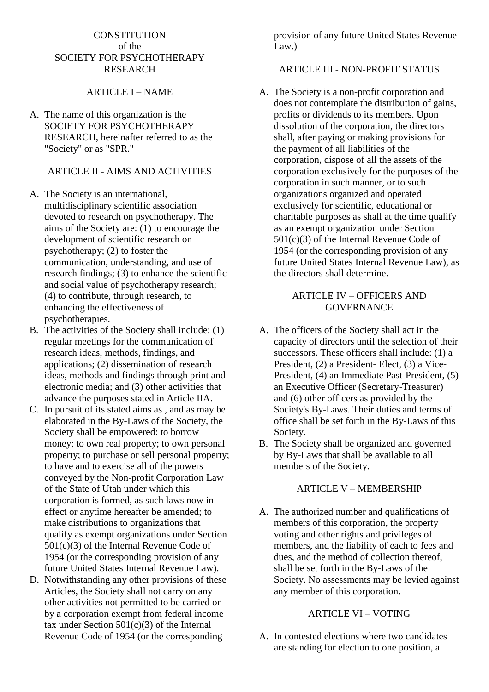#### **CONSTITUTION** of the SOCIETY FOR PSYCHOTHERAPY RESEARCH

#### ARTICLE I – NAME

A. The name of this organization is the SOCIETY FOR PSYCHOTHERAPY RESEARCH, hereinafter referred to as the "Society" or as "SPR."

### ARTICLE II - AIMS AND ACTIVITIES

- A. The Society is an international, multidisciplinary scientific association devoted to research on psychotherapy. The aims of the Society are: (1) to encourage the development of scientific research on psychotherapy; (2) to foster the communication, understanding, and use of research findings; (3) to enhance the scientific and social value of psychotherapy research; (4) to contribute, through research, to enhancing the effectiveness of psychotherapies.
- B. The activities of the Society shall include: (1) regular meetings for the communication of research ideas, methods, findings, and applications; (2) dissemination of research ideas, methods and findings through print and electronic media; and (3) other activities that advance the purposes stated in Article IIA.
- C. In pursuit of its stated aims as , and as may be elaborated in the By-Laws of the Society, the Society shall be empowered: to borrow money; to own real property; to own personal property; to purchase or sell personal property; to have and to exercise all of the powers conveyed by the Non-profit Corporation Law of the State of Utah under which this corporation is formed, as such laws now in effect or anytime hereafter be amended; to make distributions to organizations that qualify as exempt organizations under Section 501(c)(3) of the Internal Revenue Code of 1954 (or the corresponding provision of any future United States Internal Revenue Law).
- D. Notwithstanding any other provisions of these Articles, the Society shall not carry on any other activities not permitted to be carried on by a corporation exempt from federal income tax under Section  $501(c)(3)$  of the Internal Revenue Code of 1954 (or the corresponding

provision of any future United States Revenue Law.)

### ARTICLE III - NON-PROFIT STATUS

A. The Society is a non-profit corporation and does not contemplate the distribution of gains, profits or dividends to its members. Upon dissolution of the corporation, the directors shall, after paying or making provisions for the payment of all liabilities of the corporation, dispose of all the assets of the corporation exclusively for the purposes of the corporation in such manner, or to such organizations organized and operated exclusively for scientific, educational or charitable purposes as shall at the time qualify as an exempt organization under Section 501(c)(3) of the Internal Revenue Code of 1954 (or the corresponding provision of any future United States Internal Revenue Law), as the directors shall determine.

## ARTICLE IV – OFFICERS AND **GOVERNANCE**

- A. The officers of the Society shall act in the capacity of directors until the selection of their successors. These officers shall include: (1) a President, (2) a President- Elect, (3) a Vice-President, (4) an Immediate Past-President, (5) an Executive Officer (Secretary-Treasurer) and (6) other officers as provided by the Society's By-Laws. Their duties and terms of office shall be set forth in the By-Laws of this Society.
- B. The Society shall be organized and governed by By-Laws that shall be available to all members of the Society.

#### ARTICLE V – MEMBERSHIP

A. The authorized number and qualifications of members of this corporation, the property voting and other rights and privileges of members, and the liability of each to fees and dues, and the method of collection thereof, shall be set forth in the By-Laws of the Society. No assessments may be levied against any member of this corporation.

## ARTICLE VI – VOTING

A. In contested elections where two candidates are standing for election to one position, a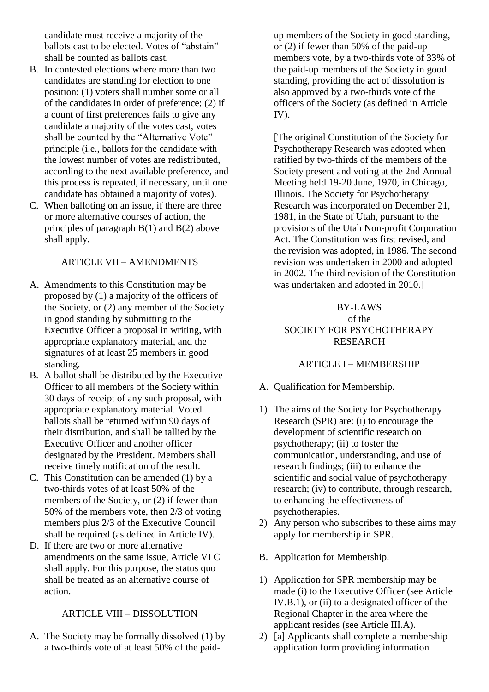candidate must receive a majority of the ballots cast to be elected. Votes of "abstain" shall be counted as ballots cast.

- B. In contested elections where more than two candidates are standing for election to one position: (1) voters shall number some or all of the candidates in order of preference; (2) if a count of first preferences fails to give any candidate a majority of the votes cast, votes shall be counted by the "Alternative Vote" principle (i.e., ballots for the candidate with the lowest number of votes are redistributed, according to the next available preference, and this process is repeated, if necessary, until one candidate has obtained a majority of votes).
- C. When balloting on an issue, if there are three or more alternative courses of action, the principles of paragraph B(1) and B(2) above shall apply.

## ARTICLE VII – AMENDMENTS

- A. Amendments to this Constitution may be proposed by (1) a majority of the officers of the Society, or (2) any member of the Society in good standing by submitting to the Executive Officer a proposal in writing, with appropriate explanatory material, and the signatures of at least 25 members in good standing.
- B. A ballot shall be distributed by the Executive Officer to all members of the Society within 30 days of receipt of any such proposal, with appropriate explanatory material. Voted ballots shall be returned within 90 days of their distribution, and shall be tallied by the Executive Officer and another officer designated by the President. Members shall receive timely notification of the result.
- C. This Constitution can be amended (1) by a two-thirds votes of at least 50% of the members of the Society, or (2) if fewer than 50% of the members vote, then 2/3 of voting members plus 2/3 of the Executive Council shall be required (as defined in Article IV).
- D. If there are two or more alternative amendments on the same issue, Article VI C shall apply. For this purpose, the status quo shall be treated as an alternative course of action.

## ARTICLE VIII – DISSOLUTION

A. The Society may be formally dissolved (1) by a two-thirds vote of at least 50% of the paidup members of the Society in good standing, or (2) if fewer than 50% of the paid-up members vote, by a two-thirds vote of 33% of the paid-up members of the Society in good standing, providing the act of dissolution is also approved by a two-thirds vote of the officers of the Society (as defined in Article IV).

[The original Constitution of the Society for Psychotherapy Research was adopted when ratified by two-thirds of the members of the Society present and voting at the 2nd Annual Meeting held 19-20 June, 1970, in Chicago, Illinois. The Society for Psychotherapy Research was incorporated on December 21, 1981, in the State of Utah, pursuant to the provisions of the Utah Non-profit Corporation Act. The Constitution was first revised, and the revision was adopted, in 1986. The second revision was undertaken in 2000 and adopted in 2002. The third revision of the Constitution was undertaken and adopted in 2010.]

## BY-LAWS of the SOCIETY FOR PSYCHOTHERAPY RESEARCH

## ARTICLE I – MEMBERSHIP

- A. Qualification for Membership.
- 1) The aims of the Society for Psychotherapy Research (SPR) are: (i) to encourage the development of scientific research on psychotherapy; (ii) to foster the communication, understanding, and use of research findings; (iii) to enhance the scientific and social value of psychotherapy research; (iv) to contribute, through research, to enhancing the effectiveness of psychotherapies.
- 2) Any person who subscribes to these aims may apply for membership in SPR.
- B. Application for Membership.
- 1) Application for SPR membership may be made (i) to the Executive Officer (see Article IV.B.1), or (ii) to a designated officer of the Regional Chapter in the area where the applicant resides (see Article III.A).
- 2) [a] Applicants shall complete a membership application form providing information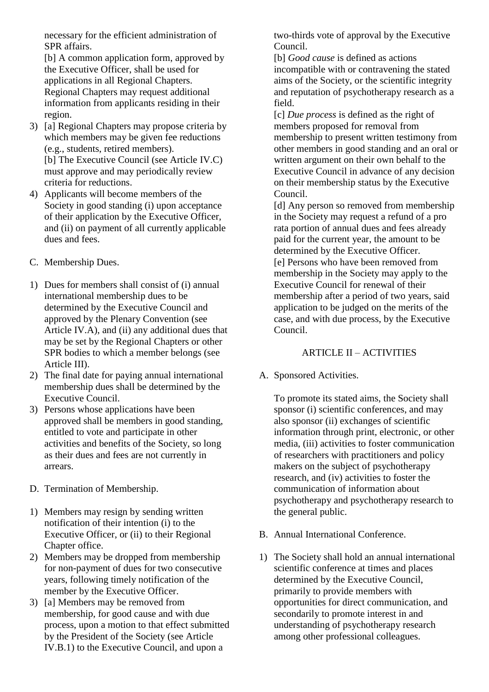necessary for the efficient administration of SPR affairs.

[b] A common application form, approved by the Executive Officer, shall be used for applications in all Regional Chapters. Regional Chapters may request additional information from applicants residing in their region.

3) [a] Regional Chapters may propose criteria by which members may be given fee reductions (e.g., students, retired members).

[b] The Executive Council (see Article IV.C) must approve and may periodically review criteria for reductions.

- 4) Applicants will become members of the Society in good standing (i) upon acceptance of their application by the Executive Officer, and (ii) on payment of all currently applicable dues and fees.
- C. Membership Dues.
- 1) Dues for members shall consist of (i) annual international membership dues to be determined by the Executive Council and approved by the Plenary Convention (see Article IV.A), and (ii) any additional dues that may be set by the Regional Chapters or other SPR bodies to which a member belongs (see Article III).
- 2) The final date for paying annual international membership dues shall be determined by the Executive Council.
- 3) Persons whose applications have been approved shall be members in good standing, entitled to vote and participate in other activities and benefits of the Society, so long as their dues and fees are not currently in arrears.
- D. Termination of Membership.
- 1) Members may resign by sending written notification of their intention (i) to the Executive Officer, or (ii) to their Regional Chapter office.
- 2) Members may be dropped from membership for non-payment of dues for two consecutive years, following timely notification of the member by the Executive Officer.
- 3) [a] Members may be removed from membership, for good cause and with due process, upon a motion to that effect submitted by the President of the Society (see Article IV.B.1) to the Executive Council, and upon a

two-thirds vote of approval by the Executive Council.

[b] *Good cause* is defined as actions incompatible with or contravening the stated aims of the Society, or the scientific integrity and reputation of psychotherapy research as a field.

[c] *Due process* is defined as the right of members proposed for removal from membership to present written testimony from other members in good standing and an oral or written argument on their own behalf to the Executive Council in advance of any decision on their membership status by the Executive Council.

[d] Any person so removed from membership in the Society may request a refund of a pro rata portion of annual dues and fees already paid for the current year, the amount to be determined by the Executive Officer. [e] Persons who have been removed from membership in the Society may apply to the Executive Council for renewal of their membership after a period of two years, said application to be judged on the merits of the case, and with due process, by the Executive Council.

# ARTICLE II – ACTIVITIES

A. Sponsored Activities.

To promote its stated aims, the Society shall sponsor (i) scientific conferences, and may also sponsor (ii) exchanges of scientific information through print, electronic, or other media, (iii) activities to foster communication of researchers with practitioners and policy makers on the subject of psychotherapy research, and (iv) activities to foster the communication of information about psychotherapy and psychotherapy research to the general public.

- B. Annual International Conference.
- 1) The Society shall hold an annual international scientific conference at times and places determined by the Executive Council, primarily to provide members with opportunities for direct communication, and secondarily to promote interest in and understanding of psychotherapy research among other professional colleagues.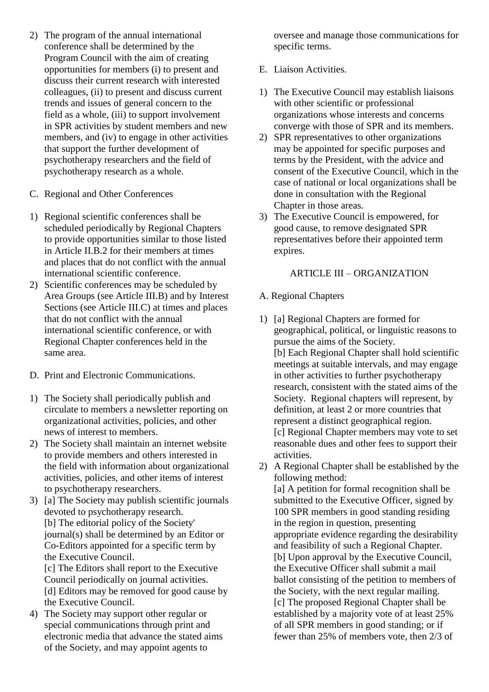- 2) The program of the annual international conference shall be determined by the Program Council with the aim of creating opportunities for members (i) to present and discuss their current research with interested colleagues, (ii) to present and discuss current trends and issues of general concern to the field as a whole, (iii) to support involvement in SPR activities by student members and new members, and (iv) to engage in other activities that support the further development of psychotherapy researchers and the field of psychotherapy research as a whole.
- C. Regional and Other Conferences
- 1) Regional scientific conferences shall be scheduled periodically by Regional Chapters to provide opportunities similar to those listed in Article II.B.2 for their members at times and places that do not conflict with the annual international scientific conference.
- 2) Scientific conferences may be scheduled by Area Groups (see Article III.B) and by Interest Sections (see Article III.C) at times and places that do not conflict with the annual international scientific conference, or with Regional Chapter conferences held in the same area.
- D. Print and Electronic Communications.
- 1) The Society shall periodically publish and circulate to members a newsletter reporting on organizational activities, policies, and other news of interest to members.
- 2) The Society shall maintain an internet website to provide members and others interested in the field with information about organizational activities, policies, and other items of interest to psychotherapy researchers.
- 3) [a] The Society may publish scientific journals devoted to psychotherapy research. [b] The editorial policy of the Society' journal(s) shall be determined by an Editor or Co-Editors appointed for a specific term by the Executive Council.

[c] The Editors shall report to the Executive Council periodically on journal activities. [d] Editors may be removed for good cause by the Executive Council.

4) The Society may support other regular or special communications through print and electronic media that advance the stated aims of the Society, and may appoint agents to

oversee and manage those communications for specific terms.

- E. Liaison Activities.
- 1) The Executive Council may establish liaisons with other scientific or professional organizations whose interests and concerns converge with those of SPR and its members.
- 2) SPR representatives to other organizations may be appointed for specific purposes and terms by the President, with the advice and consent of the Executive Council, which in the case of national or local organizations shall be done in consultation with the Regional Chapter in those areas.
- 3) The Executive Council is empowered, for good cause, to remove designated SPR representatives before their appointed term expires.

## ARTICLE III – ORGANIZATION

## A. Regional Chapters

1) [a] Regional Chapters are formed for geographical, political, or linguistic reasons to pursue the aims of the Society. [b] Each Regional Chapter shall hold scientific meetings at suitable intervals, and may engage in other activities to further psychotherapy research, consistent with the stated aims of the Society. Regional chapters will represent, by definition, at least 2 or more countries that

represent a distinct geographical region. [c] Regional Chapter members may vote to set reasonable dues and other fees to support their activities.

2) A Regional Chapter shall be established by the following method:

[a] A petition for formal recognition shall be submitted to the Executive Officer, signed by 100 SPR members in good standing residing in the region in question, presenting appropriate evidence regarding the desirability and feasibility of such a Regional Chapter. [b] Upon approval by the Executive Council, the Executive Officer shall submit a mail ballot consisting of the petition to members of the Society, with the next regular mailing. [c] The proposed Regional Chapter shall be established by a majority vote of at least 25% of all SPR members in good standing; or if fewer than 25% of members vote, then 2/3 of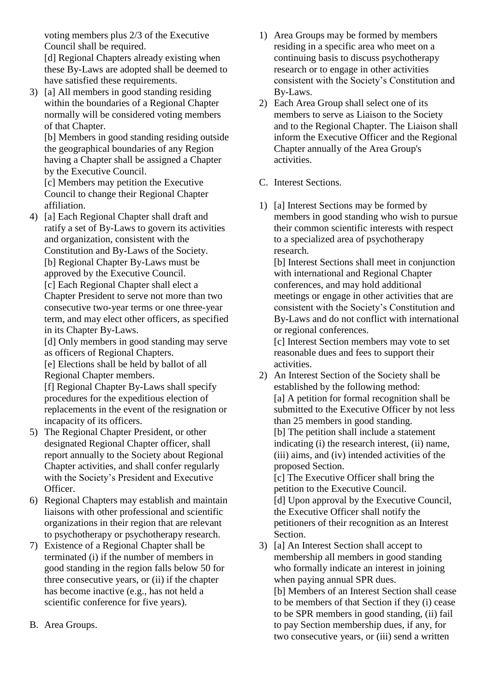voting members plus 2/3 of the Executive Council shall be required.

[d] Regional Chapters already existing when these By-Laws are adopted shall be deemed to have satisfied these requirements.

3) [a] All members in good standing residing within the boundaries of a Regional Chapter normally will be considered voting members of that Chapter.

[b] Members in good standing residing outside the geographical boundaries of any Region having a Chapter shall be assigned a Chapter by the Executive Council.

[c] Members may petition the Executive Council to change their Regional Chapter affiliation.

4) [a] Each Regional Chapter shall draft and ratify a set of By-Laws to govern its activities and organization, consistent with the Constitution and By-Laws of the Society. [b] Regional Chapter By-Laws must be approved by the Executive Council. [c] Each Regional Chapter shall elect a Chapter President to serve not more than two consecutive two-year terms or one three-year term, and may elect other officers, as specified in its Chapter By-Laws.

[d] Only members in good standing may serve as officers of Regional Chapters.

[e] Elections shall be held by ballot of all Regional Chapter members.

[f] Regional Chapter By-Laws shall specify procedures for the expeditious election of replacements in the event of the resignation or incapacity of its officers.

- 5) The Regional Chapter President, or other designated Regional Chapter officer, shall report annually to the Society about Regional Chapter activities, and shall confer regularly with the Society's President and Executive Officer.
- 6) Regional Chapters may establish and maintain liaisons with other professional and scientific organizations in their region that are relevant to psychotherapy or psychotherapy research.
- 7) Existence of a Regional Chapter shall be terminated (i) if the number of members in good standing in the region falls below 50 for three consecutive years, or (ii) if the chapter has become inactive (e.g., has not held a scientific conference for five years).
- B. Area Groups.
- 1) Area Groups may be formed by members residing in a specific area who meet on a continuing basis to discuss psychotherapy research or to engage in other activities consistent with the Society's Constitution and By-Laws.
- 2) Each Area Group shall select one of its members to serve as Liaison to the Society and to the Regional Chapter. The Liaison shall inform the Executive Officer and the Regional Chapter annually of the Area Group's activities.
- C. Interest Sections.
- 1) [a] Interest Sections may be formed by members in good standing who wish to pursue their common scientific interests with respect to a specialized area of psychotherapy research.

[b] Interest Sections shall meet in conjunction with international and Regional Chapter conferences, and may hold additional meetings or engage in other activities that are consistent with the Society's Constitution and By-Laws and do not conflict with international or regional conferences.

[c] Interest Section members may vote to set reasonable dues and fees to support their activities.

2) An Interest Section of the Society shall be established by the following method: [a] A petition for formal recognition shall be submitted to the Executive Officer by not less than 25 members in good standing. [b] The petition shall include a statement indicating (i) the research interest, (ii) name, (iii) aims, and (iv) intended activities of the proposed Section.

[c] The Executive Officer shall bring the petition to the Executive Council. [d] Upon approval by the Executive Council, the Executive Officer shall notify the petitioners of their recognition as an Interest Section.

3) [a] An Interest Section shall accept to membership all members in good standing who formally indicate an interest in joining when paying annual SPR dues.

[b] Members of an Interest Section shall cease to be members of that Section if they (i) cease to be SPR members in good standing, (ii) fail to pay Section membership dues, if any, for two consecutive years, or (iii) send a written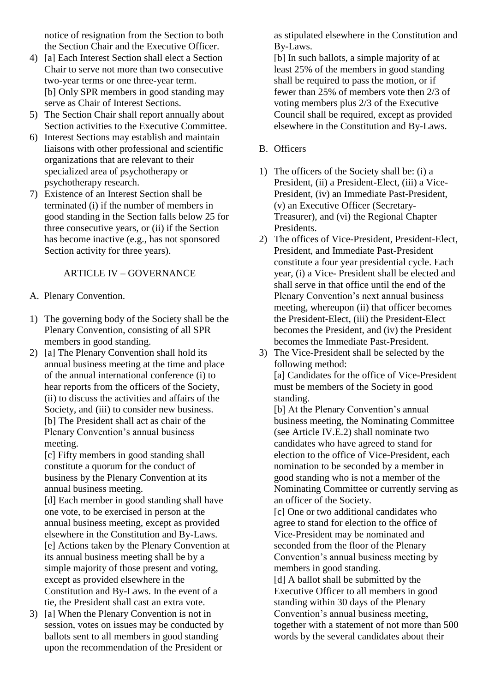notice of resignation from the Section to both the Section Chair and the Executive Officer.

- 4) [a] Each Interest Section shall elect a Section Chair to serve not more than two consecutive two-year terms or one three-year term. [b] Only SPR members in good standing may serve as Chair of Interest Sections.
- 5) The Section Chair shall report annually about Section activities to the Executive Committee.
- 6) Interest Sections may establish and maintain liaisons with other professional and scientific organizations that are relevant to their specialized area of psychotherapy or psychotherapy research.
- 7) Existence of an Interest Section shall be terminated (i) if the number of members in good standing in the Section falls below 25 for three consecutive years, or (ii) if the Section has become inactive (e.g., has not sponsored Section activity for three years).

## ARTICLE IV – GOVERNANCE

- A. Plenary Convention.
- 1) The governing body of the Society shall be the Plenary Convention, consisting of all SPR members in good standing.
- 2) [a] The Plenary Convention shall hold its annual business meeting at the time and place of the annual international conference (i) to hear reports from the officers of the Society, (ii) to discuss the activities and affairs of the Society, and (iii) to consider new business. [b] The President shall act as chair of the Plenary Convention's annual business meeting.

[c] Fifty members in good standing shall constitute a quorum for the conduct of business by the Plenary Convention at its annual business meeting.

[d] Each member in good standing shall have one vote, to be exercised in person at the annual business meeting, except as provided elsewhere in the Constitution and By-Laws. [e] Actions taken by the Plenary Convention at its annual business meeting shall be by a simple majority of those present and voting, except as provided elsewhere in the Constitution and By-Laws. In the event of a tie, the President shall cast an extra vote.

3) [a] When the Plenary Convention is not in session, votes on issues may be conducted by ballots sent to all members in good standing upon the recommendation of the President or

as stipulated elsewhere in the Constitution and By-Laws.

[b] In such ballots, a simple majority of at least 25% of the members in good standing shall be required to pass the motion, or if fewer than 25% of members vote then 2/3 of voting members plus 2/3 of the Executive Council shall be required, except as provided elsewhere in the Constitution and By-Laws.

- B. Officers
- 1) The officers of the Society shall be: (i) a President, (ii) a President-Elect, (iii) a Vice-President, (iv) an Immediate Past-President, (v) an Executive Officer (Secretary-Treasurer), and (vi) the Regional Chapter Presidents.
- 2) The offices of Vice-President, President-Elect, President, and Immediate Past-President constitute a four year presidential cycle. Each year, (i) a Vice- President shall be elected and shall serve in that office until the end of the Plenary Convention's next annual business meeting, whereupon (ii) that officer becomes the President-Elect, (iii) the President-Elect becomes the President, and (iv) the President becomes the Immediate Past-President.
- 3) The Vice-President shall be selected by the following method: [a] Candidates for the office of Vice-President must be members of the Society in good standing.

[b] At the Plenary Convention's annual business meeting, the Nominating Committee (see Article IV.E.2) shall nominate two candidates who have agreed to stand for election to the office of Vice-President, each nomination to be seconded by a member in good standing who is not a member of the Nominating Committee or currently serving as an officer of the Society.

[c] One or two additional candidates who agree to stand for election to the office of Vice-President may be nominated and seconded from the floor of the Plenary Convention's annual business meeting by members in good standing.

[d] A ballot shall be submitted by the Executive Officer to all members in good standing within 30 days of the Plenary Convention's annual business meeting, together with a statement of not more than 500 words by the several candidates about their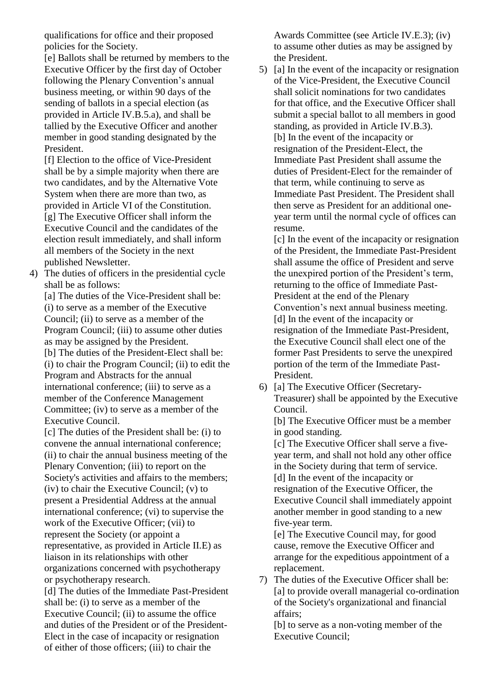qualifications for office and their proposed policies for the Society.

[e] Ballots shall be returned by members to the Executive Officer by the first day of October following the Plenary Convention's annual business meeting, or within 90 days of the sending of ballots in a special election (as provided in Article IV.B.5.a), and shall be tallied by the Executive Officer and another member in good standing designated by the President.

[f] Election to the office of Vice-President shall be by a simple majority when there are two candidates, and by the Alternative Vote System when there are more than two, as provided in Article VI of the Constitution. [g] The Executive Officer shall inform the Executive Council and the candidates of the election result immediately, and shall inform all members of the Society in the next published Newsletter.

4) The duties of officers in the presidential cycle shall be as follows:

[a] The duties of the Vice-President shall be: (i) to serve as a member of the Executive Council; (ii) to serve as a member of the Program Council; (iii) to assume other duties as may be assigned by the President. [b] The duties of the President-Elect shall be: (i) to chair the Program Council; (ii) to edit the Program and Abstracts for the annual international conference; (iii) to serve as a member of the Conference Management

Committee; (iv) to serve as a member of the Executive Council.

[c] The duties of the President shall be: (i) to convene the annual international conference; (ii) to chair the annual business meeting of the Plenary Convention; (iii) to report on the Society's activities and affairs to the members; (iv) to chair the Executive Council; (v) to present a Presidential Address at the annual international conference; (vi) to supervise the work of the Executive Officer; (vii) to represent the Society (or appoint a representative, as provided in Article II.E) as liaison in its relationships with other organizations concerned with psychotherapy or psychotherapy research.

[d] The duties of the Immediate Past-President shall be: (i) to serve as a member of the Executive Council; (ii) to assume the office and duties of the President or of the President-Elect in the case of incapacity or resignation of either of those officers; (iii) to chair the

Awards Committee (see Article IV.E.3); (iv) to assume other duties as may be assigned by the President.

5) [a] In the event of the incapacity or resignation of the Vice-President, the Executive Council shall solicit nominations for two candidates for that office, and the Executive Officer shall submit a special ballot to all members in good standing, as provided in Article IV.B.3). [b] In the event of the incapacity or resignation of the President-Elect, the Immediate Past President shall assume the duties of President-Elect for the remainder of that term, while continuing to serve as Immediate Past President. The President shall then serve as President for an additional oneyear term until the normal cycle of offices can resume.

[c] In the event of the incapacity or resignation of the President, the Immediate Past-President shall assume the office of President and serve the unexpired portion of the President's term, returning to the office of Immediate Past-President at the end of the Plenary Convention's next annual business meeting. [d] In the event of the incapacity or resignation of the Immediate Past-President, the Executive Council shall elect one of the former Past Presidents to serve the unexpired portion of the term of the Immediate Past-President.

6) [a] The Executive Officer (Secretary-Treasurer) shall be appointed by the Executive Council.

[b] The Executive Officer must be a member in good standing.

[c] The Executive Officer shall serve a fiveyear term, and shall not hold any other office in the Society during that term of service. [d] In the event of the incapacity or resignation of the Executive Officer, the Executive Council shall immediately appoint another member in good standing to a new five-year term.

[e] The Executive Council may, for good cause, remove the Executive Officer and arrange for the expeditious appointment of a replacement.

7) The duties of the Executive Officer shall be: [a] to provide overall managerial co-ordination of the Society's organizational and financial affairs;

[b] to serve as a non-voting member of the Executive Council;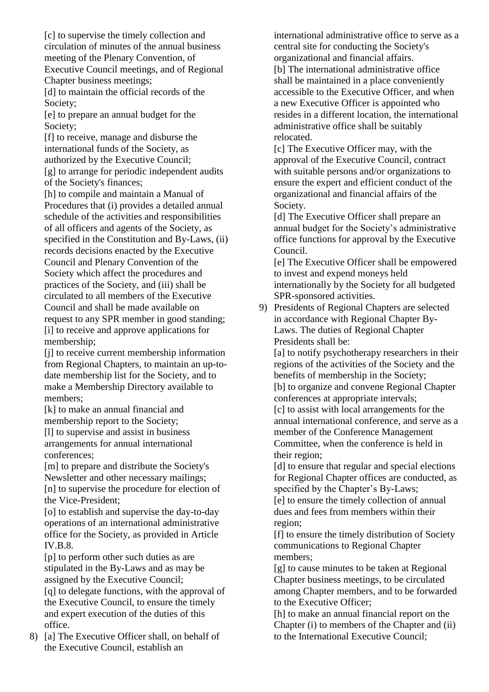[c] to supervise the timely collection and circulation of minutes of the annual business meeting of the Plenary Convention, of Executive Council meetings, and of Regional Chapter business meetings;

[d] to maintain the official records of the Society;

[e] to prepare an annual budget for the Society;

[f] to receive, manage and disburse the international funds of the Society, as authorized by the Executive Council; [g] to arrange for periodic independent audits of the Society's finances;

[h] to compile and maintain a Manual of Procedures that (i) provides a detailed annual schedule of the activities and responsibilities of all officers and agents of the Society, as specified in the Constitution and By-Laws, (ii) records decisions enacted by the Executive Council and Plenary Convention of the Society which affect the procedures and practices of the Society, and (iii) shall be circulated to all members of the Executive Council and shall be made available on request to any SPR member in good standing; [i] to receive and approve applications for membership;

[i] to receive current membership information from Regional Chapters, to maintain an up-todate membership list for the Society, and to make a Membership Directory available to members;

[k] to make an annual financial and membership report to the Society;

[l] to supervise and assist in business arrangements for annual international conferences;

[m] to prepare and distribute the Society's Newsletter and other necessary mailings; [n] to supervise the procedure for election of the Vice-President;

[o] to establish and supervise the day-to-day operations of an international administrative office for the Society, as provided in Article IV.B.8.

[p] to perform other such duties as are stipulated in the By-Laws and as may be assigned by the Executive Council;

[q] to delegate functions, with the approval of the Executive Council, to ensure the timely and expert execution of the duties of this office.

8) [a] The Executive Officer shall, on behalf of the Executive Council, establish an

international administrative office to serve as a central site for conducting the Society's organizational and financial affairs. [b] The international administrative office shall be maintained in a place conveniently accessible to the Executive Officer, and when a new Executive Officer is appointed who resides in a different location, the international administrative office shall be suitably relocated.

[c] The Executive Officer may, with the approval of the Executive Council, contract with suitable persons and/or organizations to ensure the expert and efficient conduct of the organizational and financial affairs of the Society.

[d] The Executive Officer shall prepare an annual budget for the Society's administrative office functions for approval by the Executive Council.

[e] The Executive Officer shall be empowered to invest and expend moneys held internationally by the Society for all budgeted SPR-sponsored activities.

9) Presidents of Regional Chapters are selected in accordance with Regional Chapter By-Laws. The duties of Regional Chapter Presidents shall be:

[a] to notify psychotherapy researchers in their regions of the activities of the Society and the benefits of membership in the Society; [b] to organize and convene Regional Chapter conferences at appropriate intervals;

[c] to assist with local arrangements for the annual international conference, and serve as a member of the Conference Management Committee, when the conference is held in their region;

[d] to ensure that regular and special elections for Regional Chapter offices are conducted, as specified by the Chapter's By-Laws;

[e] to ensure the timely collection of annual dues and fees from members within their region;

[f] to ensure the timely distribution of Society communications to Regional Chapter members;

[g] to cause minutes to be taken at Regional Chapter business meetings, to be circulated among Chapter members, and to be forwarded to the Executive Officer;

[h] to make an annual financial report on the Chapter (i) to members of the Chapter and (ii) to the International Executive Council;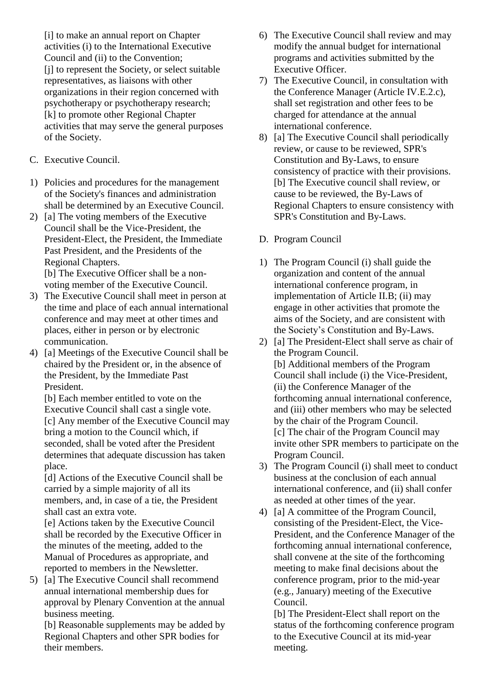[i] to make an annual report on Chapter activities (i) to the International Executive Council and (ii) to the Convention; [i] to represent the Society, or select suitable representatives, as liaisons with other organizations in their region concerned with psychotherapy or psychotherapy research; [k] to promote other Regional Chapter activities that may serve the general purposes of the Society.

- C. Executive Council.
- 1) Policies and procedures for the management of the Society's finances and administration shall be determined by an Executive Council.
- 2) [a] The voting members of the Executive Council shall be the Vice-President, the President-Elect, the President, the Immediate Past President, and the Presidents of the Regional Chapters.

[b] The Executive Officer shall be a nonvoting member of the Executive Council.

- 3) The Executive Council shall meet in person at the time and place of each annual international conference and may meet at other times and places, either in person or by electronic communication.
- 4) [a] Meetings of the Executive Council shall be chaired by the President or, in the absence of the President, by the Immediate Past President.

[b] Each member entitled to vote on the Executive Council shall cast a single vote. [c] Any member of the Executive Council may bring a motion to the Council which, if seconded, shall be voted after the President determines that adequate discussion has taken place.

[d] Actions of the Executive Council shall be carried by a simple majority of all its members, and, in case of a tie, the President shall cast an extra vote.

[e] Actions taken by the Executive Council shall be recorded by the Executive Officer in the minutes of the meeting, added to the Manual of Procedures as appropriate, and reported to members in the Newsletter.

5) [a] The Executive Council shall recommend annual international membership dues for approval by Plenary Convention at the annual business meeting.

[b] Reasonable supplements may be added by Regional Chapters and other SPR bodies for their members.

- 6) The Executive Council shall review and may modify the annual budget for international programs and activities submitted by the Executive Officer.
- 7) The Executive Council, in consultation with the Conference Manager (Article IV.E.2.c), shall set registration and other fees to be charged for attendance at the annual international conference.
- 8) [a] The Executive Council shall periodically review, or cause to be reviewed, SPR's Constitution and By-Laws, to ensure consistency of practice with their provisions. [b] The Executive council shall review, or cause to be reviewed, the By-Laws of Regional Chapters to ensure consistency with SPR's Constitution and By-Laws.
- D. Program Council
- 1) The Program Council (i) shall guide the organization and content of the annual international conference program, in implementation of Article II.B; (ii) may engage in other activities that promote the aims of the Society, and are consistent with the Society's Constitution and By-Laws.
- 2) [a] The President-Elect shall serve as chair of the Program Council. [b] Additional members of the Program Council shall include (i) the Vice-President, (ii) the Conference Manager of the forthcoming annual international conference, and (iii) other members who may be selected by the chair of the Program Council. [c] The chair of the Program Council may invite other SPR members to participate on the Program Council.
- 3) The Program Council (i) shall meet to conduct business at the conclusion of each annual international conference, and (ii) shall confer as needed at other times of the year.
- 4) [a] A committee of the Program Council, consisting of the President-Elect, the Vice-President, and the Conference Manager of the forthcoming annual international conference, shall convene at the site of the forthcoming meeting to make final decisions about the conference program, prior to the mid-year (e.g., January) meeting of the Executive Council.

[b] The President-Elect shall report on the status of the forthcoming conference program to the Executive Council at its mid-year meeting.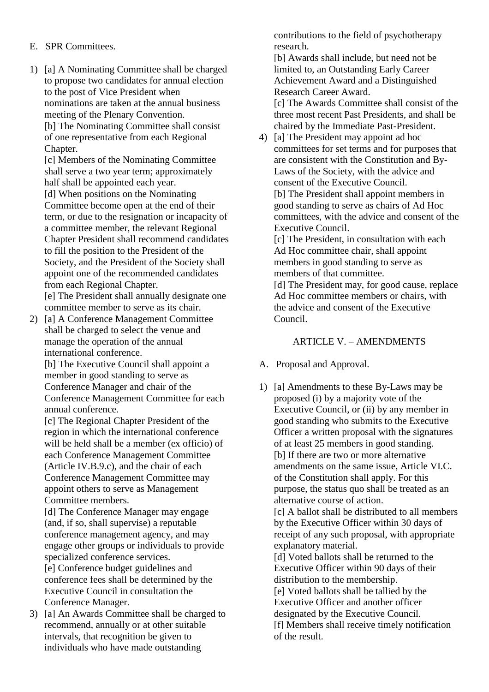- E. SPR Committees.
- 1) [a] A Nominating Committee shall be charged to propose two candidates for annual election to the post of Vice President when nominations are taken at the annual business meeting of the Plenary Convention. [b] The Nominating Committee shall consist of one representative from each Regional Chapter.

[c] Members of the Nominating Committee shall serve a two year term; approximately half shall be appointed each year. [d] When positions on the Nominating Committee become open at the end of their term, or due to the resignation or incapacity of a committee member, the relevant Regional Chapter President shall recommend candidates to fill the position to the President of the Society, and the President of the Society shall appoint one of the recommended candidates from each Regional Chapter.

[e] The President shall annually designate one committee member to serve as its chair.

2) [a] A Conference Management Committee shall be charged to select the venue and manage the operation of the annual international conference.

[b] The Executive Council shall appoint a member in good standing to serve as Conference Manager and chair of the Conference Management Committee for each annual conference.

[c] The Regional Chapter President of the region in which the international conference will be held shall be a member (ex officio) of each Conference Management Committee (Article IV.B.9.c), and the chair of each Conference Management Committee may appoint others to serve as Management Committee members.

[d] The Conference Manager may engage (and, if so, shall supervise) a reputable conference management agency, and may engage other groups or individuals to provide specialized conference services.

[e] Conference budget guidelines and conference fees shall be determined by the Executive Council in consultation the Conference Manager.

3) [a] An Awards Committee shall be charged to recommend, annually or at other suitable intervals, that recognition be given to individuals who have made outstanding

contributions to the field of psychotherapy research.

[b] Awards shall include, but need not be limited to, an Outstanding Early Career Achievement Award and a Distinguished Research Career Award.

[c] The Awards Committee shall consist of the three most recent Past Presidents, and shall be chaired by the Immediate Past-President.

4) [a] The President may appoint ad hoc committees for set terms and for purposes that are consistent with the Constitution and By-Laws of the Society, with the advice and consent of the Executive Council. [b] The President shall appoint members in good standing to serve as chairs of Ad Hoc committees, with the advice and consent of the Executive Council.

[c] The President, in consultation with each Ad Hoc committee chair, shall appoint members in good standing to serve as members of that committee.

[d] The President may, for good cause, replace Ad Hoc committee members or chairs, with the advice and consent of the Executive Council.

## ARTICLE V. – AMENDMENTS

- A. Proposal and Approval.
- 1) [a] Amendments to these By-Laws may be proposed (i) by a majority vote of the Executive Council, or (ii) by any member in good standing who submits to the Executive Officer a written proposal with the signatures of at least 25 members in good standing. [b] If there are two or more alternative amendments on the same issue, Article VI.C. of the Constitution shall apply. For this purpose, the status quo shall be treated as an alternative course of action.

[c] A ballot shall be distributed to all members by the Executive Officer within 30 days of receipt of any such proposal, with appropriate explanatory material.

[d] Voted ballots shall be returned to the Executive Officer within 90 days of their distribution to the membership.

[e] Voted ballots shall be tallied by the Executive Officer and another officer designated by the Executive Council.

[f] Members shall receive timely notification of the result.